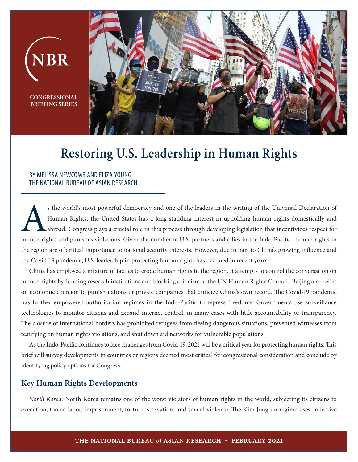

## **Restoring U.S. Leadership in Human Rights**

## BY MELISSA NEWCOMB AND ELIZA YOUNG THE NATIONAL BUREAU OF ASIAN RESEARCH

s the world's most powerful democracy and one of the leaders in the writing of the Universal Declaration of Human Rights, the United States has a long-standing interest in upholding human rights domestically and abroad. Co Human Rights, the United States has a long-standing interest in upholding human rights domestically and abroad. Congress plays a crucial role in this process through developing legislation that incentivizes respect for human rights and punishes violations. Given the number of U.S. partners and allies in the Indo-Pacific, human rights in the region are of critical importance to national security interests. However, due in part to China's growing influence and the Covid-19 pandemic, U.S. leadership in protecting human rights has declined in recent years.

China has employed a mixture of tactics to erode human rights in the region. It attempts to control the conversation on human rights by funding research institutions and blocking criticism at the UN Human Rights Council. Beijing also relies on economic coercion to punish nations or private companies that criticize China's own record. The Covid-19 pandemic has further empowered authoritarian regimes in the Indo-Pacific to repress freedoms. Governments use surveillance technologies to monitor citizens and expand internet control, in many cases with little accountability or transparency. The closure of international borders has prohibited refugees from fleeing dangerous situations, prevented witnesses from testifying on human rights violations, and shut down aid networks for vulnerable populations.

As the Indo-Pacific continues to face challenges from Covid-19, 2021 will be a critical year for protecting human rights. This brief will survey developments in countries or regions deemed most critical for congressional consideration and conclude by identifying policy options for Congress.

## **Key Human Rights Developments**

*North Korea.* North Korea remains one of the worst violators of human rights in the world, subjecting its citizens to execution, forced labor, imprisonment, torture, starvation, and sexual violence. The Kim Jong-un regime uses collective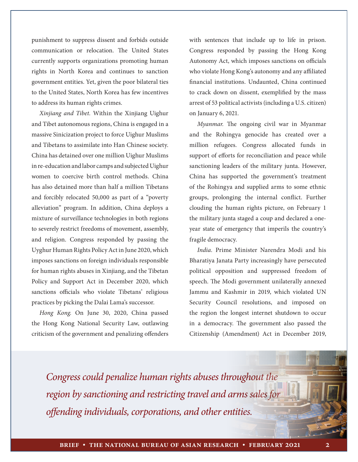punishment to suppress dissent and forbids outside communication or relocation. The United States currently supports organizations promoting human rights in North Korea and continues to sanction government entities. Yet, given the poor bilateral ties to the United States, North Korea has few incentives to address its human rights crimes.

*Xinjiang and Tibet.* Within the Xinjiang Uighur and Tibet autonomous regions, China is engaged in a massive Sinicization project to force Uighur Muslims and Tibetans to assimilate into Han Chinese society. China has detained over one million Uighur Muslims in re-education and labor camps and subjected Uighur women to coercive birth control methods. China has also detained more than half a million Tibetans and forcibly relocated 50,000 as part of a "poverty alleviation" program. In addition, China deploys a mixture of surveillance technologies in both regions to severely restrict freedoms of movement, assembly, and religion. Congress responded by passing the Uyghur Human Rights Policy Act in June 2020, which imposes sanctions on foreign individuals responsible for human rights abuses in Xinjiang, and the Tibetan Policy and Support Act in December 2020, which sanctions officials who violate Tibetans' religious practices by picking the Dalai Lama's successor.

*Hong Kong.* On June 30, 2020, China passed the Hong Kong National Security Law, outlawing criticism of the government and penalizing offenders

with sentences that include up to life in prison. Congress responded by passing the Hong Kong Autonomy Act, which imposes sanctions on officials who violate Hong Kong's autonomy and any affiliated financial institutions. Undaunted, China continued to crack down on dissent, exemplified by the mass arrest of 53 political activists (including a U.S. citizen) on January 6, 2021.

*Myanmar.* The ongoing civil war in Myanmar and the Rohingya genocide has created over a million refugees. Congress allocated funds in support of efforts for reconciliation and peace while sanctioning leaders of the military junta. However, China has supported the government's treatment of the Rohingya and supplied arms to some ethnic groups, prolonging the internal conflict. Further clouding the human rights picture, on February 1 the military junta staged a coup and declared a oneyear state of emergency that imperils the country's fragile democracy.

*India.* Prime Minister Narendra Modi and his Bharatiya Janata Party increasingly have persecuted political opposition and suppressed freedom of speech. The Modi government unilaterally annexed Jammu and Kashmir in 2019, which violated UN Security Council resolutions, and imposed on the region the longest internet shutdown to occur in a democracy. The government also passed the Citizenship (Amendment) Act in December 2019,

*Congress could penalize human rights abuses throughout the region by sanctioning and restricting travel and arms sales for offending individuals, corporations, and other entities.*